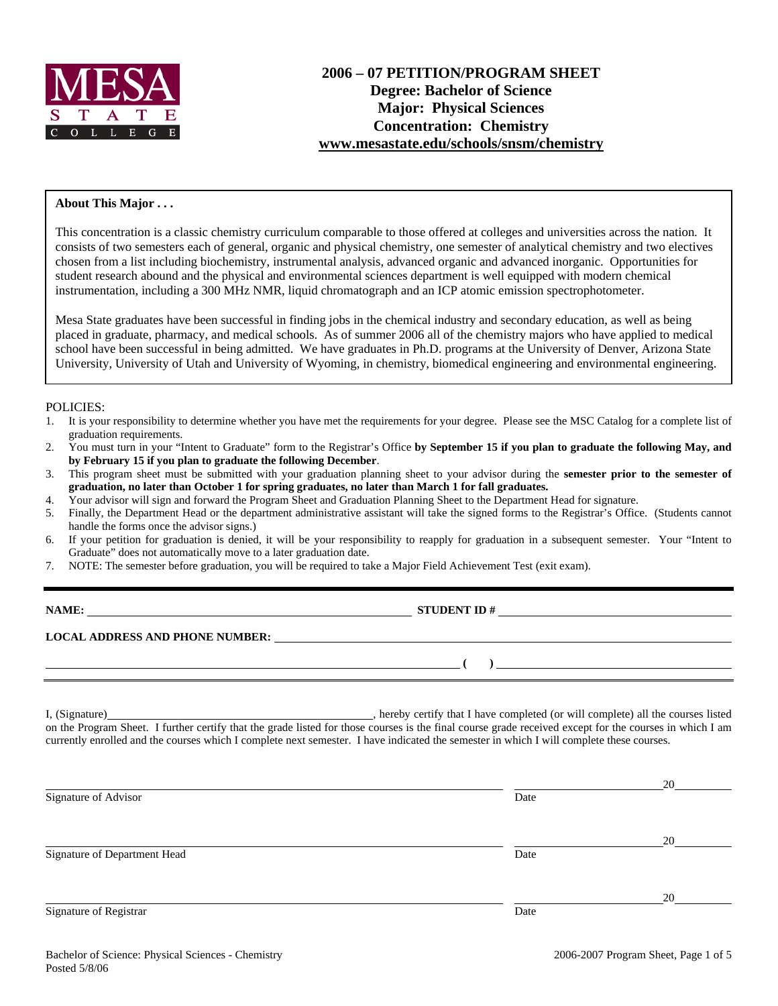

#### **About This Major . . .**

This concentration is a classic chemistry curriculum comparable to those offered at colleges and universities across the nation. It consists of two semesters each of general, organic and physical chemistry, one semester of analytical chemistry and two electives chosen from a list including biochemistry, instrumental analysis, advanced organic and advanced inorganic. Opportunities for student research abound and the physical and environmental sciences department is well equipped with modern chemical instrumentation, including a 300 MHz NMR, liquid chromatograph and an ICP atomic emission spectrophotometer.

Mesa State graduates have been successful in finding jobs in the chemical industry and secondary education, as well as being placed in graduate, pharmacy, and medical schools. As of summer 2006 all of the chemistry majors who have applied to medical school have been successful in being admitted. We have graduates in Ph.D. programs at the University of Denver, Arizona State University, University of Utah and University of Wyoming, in chemistry, biomedical engineering and environmental engineering.

#### POLICIES:

- 1. It is your responsibility to determine whether you have met the requirements for your degree. Please see the MSC Catalog for a complete list of graduation requirements.
- 2. You must turn in your "Intent to Graduate" form to the Registrar's Office **by September 15 if you plan to graduate the following May, and by February 15 if you plan to graduate the following December**.
- 3. This program sheet must be submitted with your graduation planning sheet to your advisor during the **semester prior to the semester of graduation, no later than October 1 for spring graduates, no later than March 1 for fall graduates.**
- 4. Your advisor will sign and forward the Program Sheet and Graduation Planning Sheet to the Department Head for signature.
- 5. Finally, the Department Head or the department administrative assistant will take the signed forms to the Registrar's Office. (Students cannot handle the forms once the advisor signs.)
- 6. If your petition for graduation is denied, it will be your responsibility to reapply for graduation in a subsequent semester. Your "Intent to Graduate" does not automatically move to a later graduation date.
- 7. NOTE: The semester before graduation, you will be required to take a Major Field Achievement Test (exit exam).

| NAME:                                  | <b>STUDENT ID#</b> |  |
|----------------------------------------|--------------------|--|
| <b>LOCAL ADDRESS AND PHONE NUMBER:</b> |                    |  |
|                                        |                    |  |

I, (Signature) **Solution** , hereby certify that I have completed (or will complete) all the courses listed on the Program Sheet. I further certify that the grade listed for those courses is the final course grade received except for the courses in which I am currently enrolled and the courses which I complete next semester. I have indicated the semester in which I will complete these courses.

|                              |      | 20 |
|------------------------------|------|----|
| Signature of Advisor         | Date |    |
|                              |      |    |
|                              |      | 20 |
| Signature of Department Head | Date |    |
|                              |      |    |
|                              |      | 20 |
| Signature of Registrar       | Date |    |
|                              |      |    |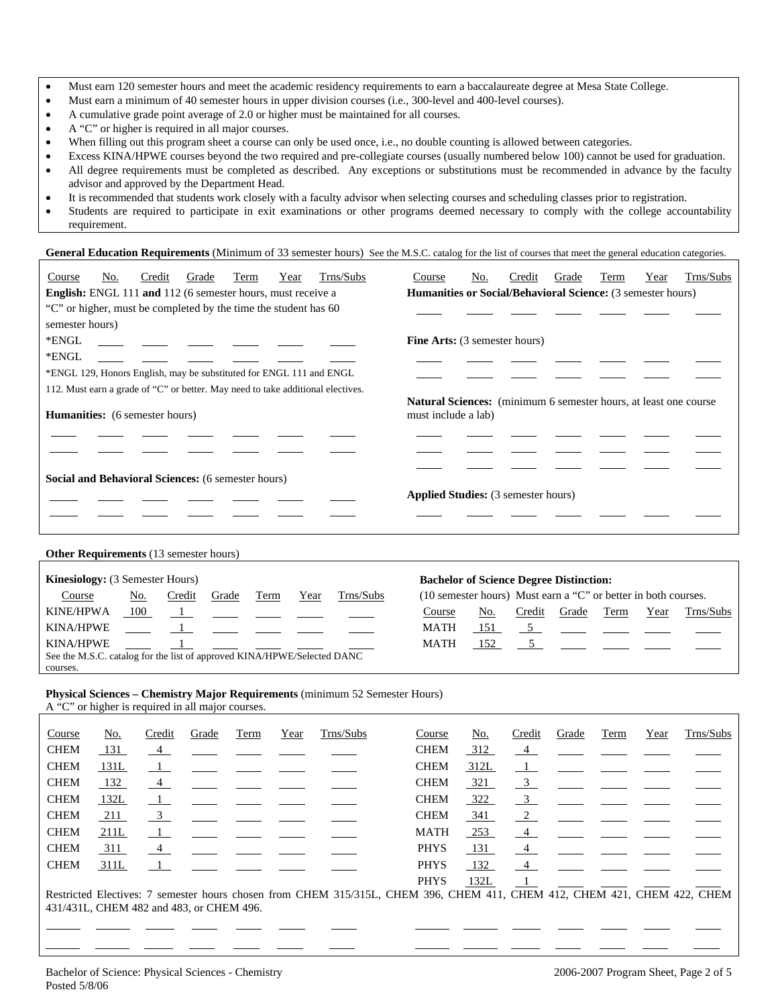- Must earn 120 semester hours and meet the academic residency requirements to earn a baccalaureate degree at Mesa State College.
- Must earn a minimum of 40 semester hours in upper division courses (i.e., 300-level and 400-level courses).
- A cumulative grade point average of 2.0 or higher must be maintained for all courses.
- A "C" or higher is required in all major courses.
- When filling out this program sheet a course can only be used once, i.e., no double counting is allowed between categories.
- Excess KINA/HPWE courses beyond the two required and pre-collegiate courses (usually numbered below 100) cannot be used for graduation.
- All degree requirements must be completed as described. Any exceptions or substitutions must be recommended in advance by the faculty advisor and approved by the Department Head.
- It is recommended that students work closely with a faculty advisor when selecting courses and scheduling classes prior to registration.
- Students are required to participate in exit examinations or other programs deemed necessary to comply with the college accountability requirement.

| <b>General Education Requirements</b> (Minimum of 33 semester hours) See the M.S.C. catalog for the list of courses that meet the general education categories. |  |  |
|-----------------------------------------------------------------------------------------------------------------------------------------------------------------|--|--|
|                                                                                                                                                                 |  |  |

| Course                                                      | No.                                                             | Credit                                                              | Grade | Term | Year                                                                                           | Trns/Subs                                                                       | Course                               | No.                                                                | Credit | Grade | Term | Year | Trns/Subs |  |
|-------------------------------------------------------------|-----------------------------------------------------------------|---------------------------------------------------------------------|-------|------|------------------------------------------------------------------------------------------------|---------------------------------------------------------------------------------|--------------------------------------|--------------------------------------------------------------------|--------|-------|------|------|-----------|--|
| English: ENGL 111 and 112 (6 semester hours, must receive a |                                                                 |                                                                     |       |      |                                                                                                |                                                                                 |                                      | <b>Humanities or Social/Behavioral Science:</b> (3 semester hours) |        |       |      |      |           |  |
|                                                             | "C" or higher, must be completed by the time the student has 60 |                                                                     |       |      |                                                                                                |                                                                                 |                                      |                                                                    |        |       |      |      |           |  |
| semester hours)                                             |                                                                 |                                                                     |       |      |                                                                                                |                                                                                 |                                      |                                                                    |        |       |      |      |           |  |
| *ENGL                                                       |                                                                 |                                                                     |       |      |                                                                                                |                                                                                 | <b>Fine Arts:</b> (3 semester hours) |                                                                    |        |       |      |      |           |  |
| *ENGL                                                       |                                                                 |                                                                     |       |      |                                                                                                |                                                                                 |                                      |                                                                    |        |       |      |      |           |  |
|                                                             |                                                                 | *ENGL 129, Honors English, may be substituted for ENGL 111 and ENGL |       |      |                                                                                                |                                                                                 |                                      |                                                                    |        |       |      |      |           |  |
|                                                             |                                                                 |                                                                     |       |      |                                                                                                | 112. Must earn a grade of "C" or better. May need to take additional electives. |                                      |                                                                    |        |       |      |      |           |  |
| <b>Humanities:</b> (6 semester hours)                       |                                                                 |                                                                     |       |      | <b>Natural Sciences:</b> (minimum 6 semester hours, at least one course<br>must include a lab) |                                                                                 |                                      |                                                                    |        |       |      |      |           |  |
|                                                             |                                                                 |                                                                     |       |      |                                                                                                |                                                                                 |                                      |                                                                    |        |       |      |      |           |  |
|                                                             |                                                                 |                                                                     |       |      |                                                                                                |                                                                                 |                                      |                                                                    |        |       |      |      |           |  |
|                                                             |                                                                 | Social and Behavioral Sciences: (6 semester hours)                  |       |      |                                                                                                |                                                                                 |                                      |                                                                    |        |       |      |      |           |  |
|                                                             |                                                                 |                                                                     |       |      |                                                                                                | <b>Applied Studies:</b> (3 semester hours)                                      |                                      |                                                                    |        |       |      |      |           |  |
|                                                             |                                                                 |                                                                     |       |      |                                                                                                |                                                                                 |                                      |                                                                    |        |       |      |      |           |  |
|                                                             |                                                                 |                                                                     |       |      |                                                                                                |                                                                                 |                                      |                                                                    |        |       |      |      |           |  |

#### **Other Requirements** (13 semester hours)

| <b>Kinesiology:</b> (3 Semester Hours)                                  |     |        |       |      |      |                                     | <b>Bachelor of Science Degree Distinction:</b>                 |       |        |       |      |      |            |
|-------------------------------------------------------------------------|-----|--------|-------|------|------|-------------------------------------|----------------------------------------------------------------|-------|--------|-------|------|------|------------|
| Course                                                                  | No. | Credit | Grade | Term | Year | Trns/Subs                           | (10 semester hours) Must earn a "C" or better in both courses. |       |        |       |      |      |            |
| <b>KINE/HPWA</b>                                                        | 100 |        |       |      |      | __ <u>_1</u> _ _____ ____ ____ ____ | Course                                                         | No.   | Credit | Grade | Term | Year | Trns/Subs  |
| <b>KINA/HPWE</b>                                                        |     |        |       |      |      |                                     | MATH                                                           | - 151 |        |       |      |      | $5\degree$ |
| <b>KINA/HPWE</b>                                                        |     |        |       |      |      |                                     | <b>MATH</b>                                                    | 152   |        |       |      |      | $5\degree$ |
| See the M.S.C. catalog for the list of approved KINA/HPWE/Selected DANC |     |        |       |      |      |                                     |                                                                |       |        |       |      |      |            |
| courses.                                                                |     |        |       |      |      |                                     |                                                                |       |        |       |      |      |            |

## **Physical Sciences – Chemistry Major Requirements** (minimum 52 Semester Hours)

A "C" or higher is required in all major courses.

| Course      | No.                                      | Credit                  | Grade | Term | Year | Trns/Subs | Course                                                                                                                   | No.  | Credit                  | Grade | Term | Year | Trns/Subs |
|-------------|------------------------------------------|-------------------------|-------|------|------|-----------|--------------------------------------------------------------------------------------------------------------------------|------|-------------------------|-------|------|------|-----------|
| <b>CHEM</b> | 131                                      | $\overline{4}$          |       |      |      |           | <b>CHEM</b>                                                                                                              | 312  | $-4$                    |       |      |      |           |
| <b>CHEM</b> | 131L                                     |                         |       |      |      |           | <b>CHEM</b>                                                                                                              | 312L | $\mathbf{1}$            |       |      |      |           |
| <b>CHEM</b> | 132                                      | $\overline{4}$          |       |      |      |           | <b>CHEM</b>                                                                                                              | 321  | $\overline{3}$          |       |      |      |           |
| <b>CHEM</b> | 132L                                     | $\mathbf{1}$            |       |      |      |           | <b>CHEM</b>                                                                                                              | 322  | $\overline{\mathbf{3}}$ |       |      |      |           |
| <b>CHEM</b> | 211                                      | $\overline{\mathbf{3}}$ |       |      |      |           | <b>CHEM</b>                                                                                                              | 341  | 2                       |       |      |      |           |
| <b>CHEM</b> | 211L                                     |                         |       |      |      |           | <b>MATH</b>                                                                                                              | 253  | $\overline{4}$          |       |      |      |           |
| <b>CHEM</b> | 311                                      | $\sim$ 4                |       |      |      |           | <b>PHYS</b>                                                                                                              | 131  | $\frac{4}{ }$           |       |      |      |           |
| <b>CHEM</b> | 311L                                     |                         |       |      |      |           | <b>PHYS</b>                                                                                                              | 132  | $\sim$ 4                |       |      |      |           |
|             |                                          |                         |       |      |      |           | <b>PHYS</b>                                                                                                              | 132L |                         |       |      |      |           |
|             |                                          |                         |       |      |      |           | Restricted Electives: 7 semester hours chosen from CHEM 315/315L, CHEM 396, CHEM 411, CHEM 412, CHEM 421, CHEM 422, CHEM |      |                         |       |      |      |           |
|             | 431/431L, CHEM 482 and 483, or CHEM 496. |                         |       |      |      |           |                                                                                                                          |      |                         |       |      |      |           |
|             |                                          |                         |       |      |      |           |                                                                                                                          |      |                         |       |      |      |           |
|             |                                          |                         |       |      |      |           |                                                                                                                          |      |                         |       |      |      |           |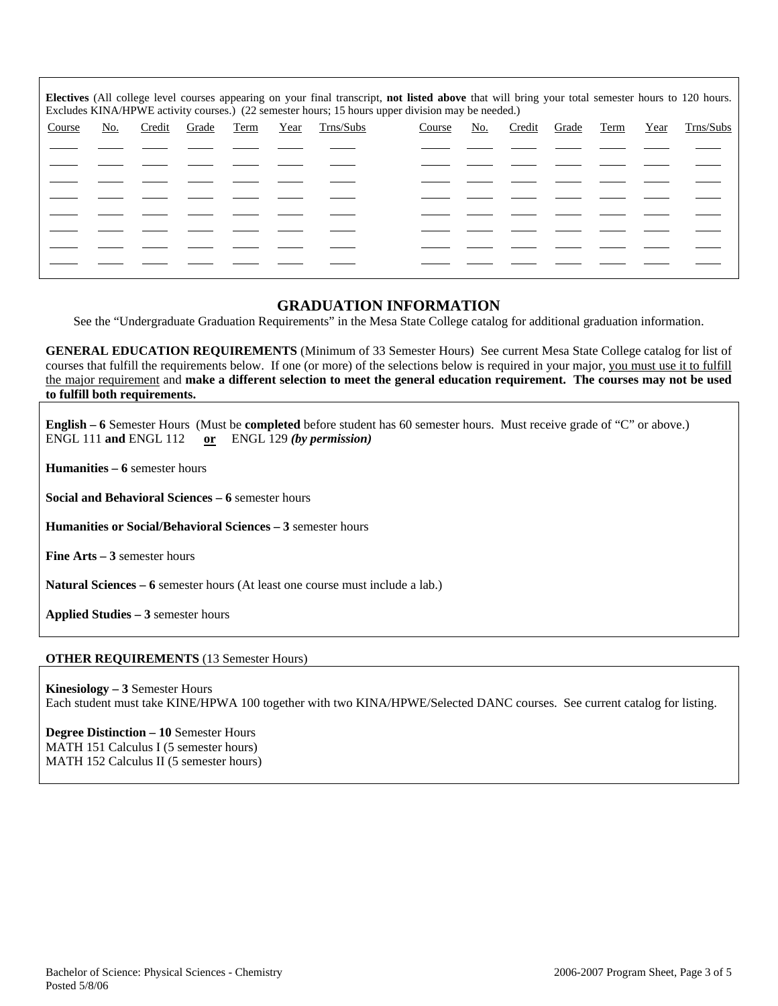**Electives** (All college level courses appearing on your final transcript, **not listed above** that will bring your total semester hours to 120 hours. Excludes KINA/HPWE activity courses.) (22 semester hours; 15 hours upper division may be needed.) Course No. Credit Grade Term Year Trns/Subs Course No. Credit Grade Term Year Trns/Subs ֦ ֦ ֦ ֦  $\overline{a}$ ֦ ֦ ֦

## **GRADUATION INFORMATION**

See the "Undergraduate Graduation Requirements" in the Mesa State College catalog for additional graduation information.

**GENERAL EDUCATION REQUIREMENTS** (Minimum of 33 Semester Hours) See current Mesa State College catalog for list of courses that fulfill the requirements below. If one (or more) of the selections below is required in your major, you must use it to fulfill the major requirement and **make a different selection to meet the general education requirement. The courses may not be used to fulfill both requirements.**

**English – 6** Semester Hours (Must be **completed** before student has 60 semester hours. Must receive grade of "C" or above.) ENGL 111 **and** ENGL 112 **or** ENGL 129 *(by permission)*

**Humanities – 6** semester hours

**Social and Behavioral Sciences – 6** semester hours

**Humanities or Social/Behavioral Sciences – 3** semester hours

**Fine Arts – 3** semester hours

**Natural Sciences – 6** semester hours (At least one course must include a lab.)

**Applied Studies – 3** semester hours

#### **OTHER REQUIREMENTS** (13 Semester Hours)

**Kinesiology – 3** Semester Hours Each student must take KINE/HPWA 100 together with two KINA/HPWE/Selected DANC courses. See current catalog for listing.

**Degree Distinction – 10** Semester Hours MATH 151 Calculus I (5 semester hours) MATH 152 Calculus II (5 semester hours)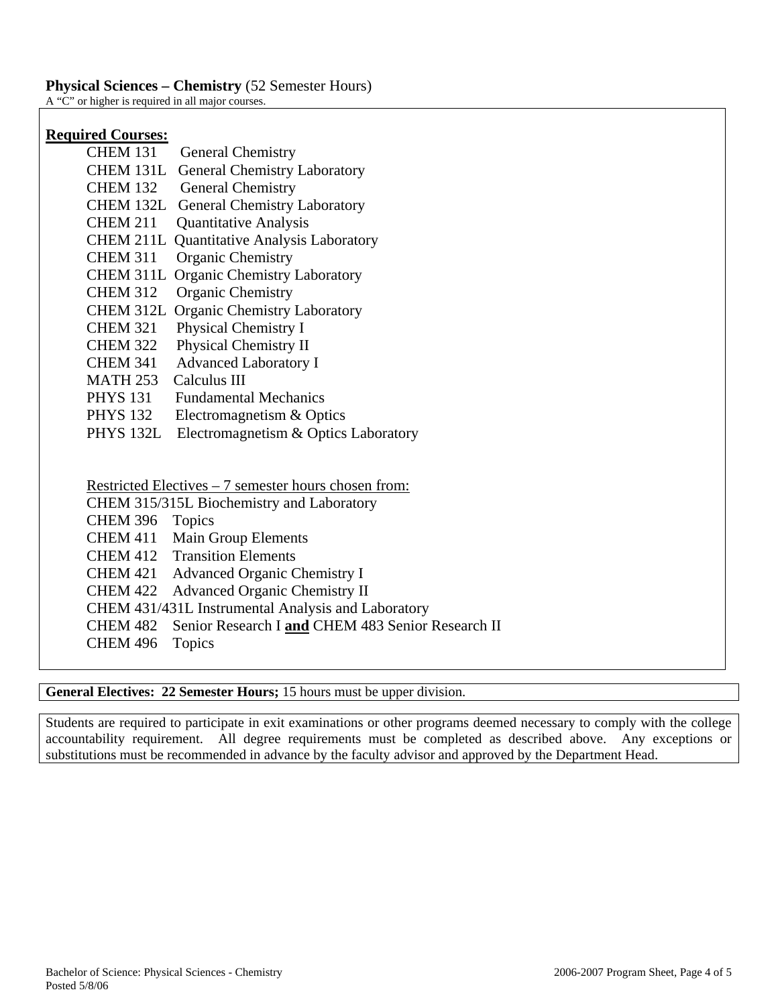# **Physical Sciences – Chemistry** (52 Semester Hours)

A "C" or higher is required in all major courses.

# **Required Courses:**

| CHEM 131        | <b>General Chemistry</b>                                    |
|-----------------|-------------------------------------------------------------|
| CHEM 131L       | <b>General Chemistry Laboratory</b>                         |
| <b>CHEM 132</b> | <b>General Chemistry</b>                                    |
| CHEM 132L       | <b>General Chemistry Laboratory</b>                         |
| <b>CHEM 211</b> | <b>Quantitative Analysis</b>                                |
| CHEM 211L       | Quantitative Analysis Laboratory                            |
| <b>CHEM 311</b> | <b>Organic Chemistry</b>                                    |
|                 | CHEM 311L Organic Chemistry Laboratory                      |
| <b>CHEM 312</b> | <b>Organic Chemistry</b>                                    |
|                 | <b>CHEM 312L Organic Chemistry Laboratory</b>               |
| <b>CHEM 321</b> | <b>Physical Chemistry I</b>                                 |
| <b>CHEM 322</b> | Physical Chemistry II                                       |
| <b>CHEM 341</b> | <b>Advanced Laboratory I</b>                                |
| <b>MATH 253</b> | Calculus III                                                |
| <b>PHYS 131</b> | <b>Fundamental Mechanics</b>                                |
| <b>PHYS</b> 132 | Electromagnetism & Optics                                   |
| PHYS 132L       | Electromagnetism & Optics Laboratory                        |
|                 |                                                             |
|                 |                                                             |
|                 | <u>Restricted Electives – 7 semester hours chosen from:</u> |
|                 | CHEM 315/315L Biochemistry and Laboratory                   |
| CHEM 396        | Topics                                                      |
| CHEM 411        | <b>Main Group Elements</b>                                  |
| <b>CHEM 412</b> | <b>Transition Elements</b>                                  |
| <b>CHEM 421</b> | Advanced Organic Chemistry I                                |
| CHEM 422        | <b>Advanced Organic Chemistry II</b>                        |
|                 | CHEM 431/431L Instrumental Analysis and Laboratory          |
| <b>CHEM 482</b> | Senior Research I and CHEM 483 Senior Research II           |
| <b>CHEM 496</b> | Topics                                                      |
|                 |                                                             |

# **General Electives: 22 Semester Hours;** 15 hours must be upper division.

Students are required to participate in exit examinations or other programs deemed necessary to comply with the college accountability requirement. All degree requirements must be completed as described above. Any exceptions or substitutions must be recommended in advance by the faculty advisor and approved by the Department Head.